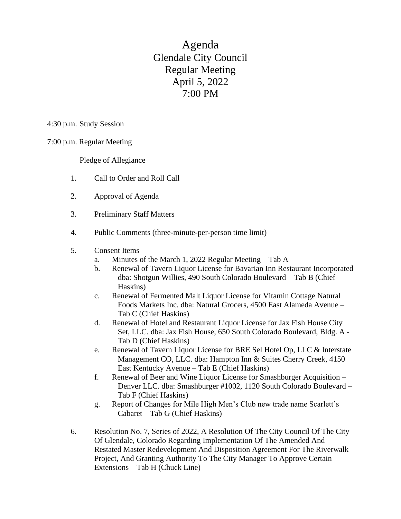Agenda Glendale City Council Regular Meeting April 5, 2022 7:00 PM

4:30 p.m. Study Session

7:00 p.m. Regular Meeting

Pledge of Allegiance

- 1. Call to Order and Roll Call
- 2. Approval of Agenda
- 3. Preliminary Staff Matters
- 4. Public Comments (three-minute-per-person time limit)

## 5. Consent Items

- a. Minutes of the March 1, 2022 Regular Meeting Tab A
- b. Renewal of Tavern Liquor License for Bavarian Inn Restaurant Incorporated dba: Shotgun Willies, 490 South Colorado Boulevard – Tab B (Chief Haskins)
- c. Renewal of Fermented Malt Liquor License for Vitamin Cottage Natural Foods Markets Inc. dba: Natural Grocers, 4500 East Alameda Avenue – Tab C (Chief Haskins)
- d. Renewal of Hotel and Restaurant Liquor License for Jax Fish House City Set, LLC. dba: Jax Fish House, 650 South Colorado Boulevard, Bldg. A - Tab D (Chief Haskins)
- e. Renewal of Tavern Liquor License for BRE Sel Hotel Op, LLC & Interstate Management CO, LLC. dba: Hampton Inn & Suites Cherry Creek, 4150 East Kentucky Avenue – Tab E (Chief Haskins)
- f. Renewal of Beer and Wine Liquor License for Smashburger Acquisition Denver LLC. dba: Smashburger #1002, 1120 South Colorado Boulevard – Tab F (Chief Haskins)
- g. Report of Changes for Mile High Men's Club new trade name Scarlett's Cabaret – Tab G (Chief Haskins)
- 6. Resolution No. 7, Series of 2022, A Resolution Of The City Council Of The City Of Glendale, Colorado Regarding Implementation Of The Amended And Restated Master Redevelopment And Disposition Agreement For The Riverwalk Project, And Granting Authority To The City Manager To Approve Certain Extensions – Tab H (Chuck Line)